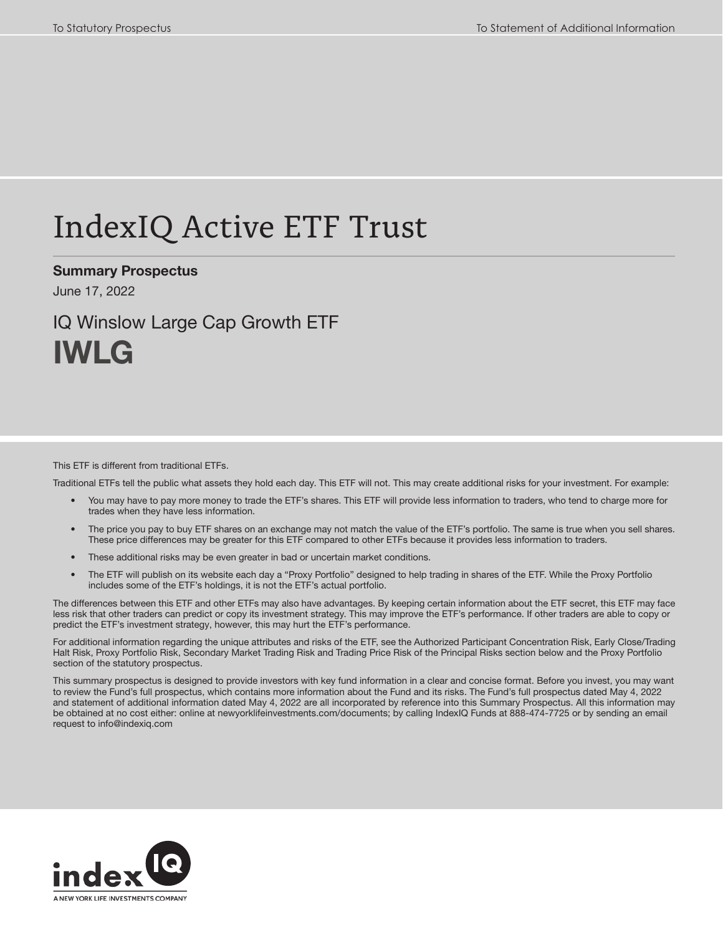# IndexIQ Active ETF Trust

Summary Prospectus

June 17, 2022

# IQ Winslow Large Cap Growth ETF IWLG

#### This ETF is different from traditional ETFs.

Traditional ETFs tell the public what assets they hold each day. This ETF will not. This may create additional risks for your investment. For example:

- You may have to pay more money to trade the ETF's shares. This ETF will provide less information to traders, who tend to charge more for trades when they have less information.
- The price you pay to buy ETF shares on an exchange may not match the value of the ETF's portfolio. The same is true when you sell shares. These price differences may be greater for this ETF compared to other ETFs because it provides less information to traders.
- These additional risks may be even greater in bad or uncertain market conditions.
- The ETF will publish on its website each day a "Proxy Portfolio" designed to help trading in shares of the ETF. While the Proxy Portfolio includes some of the ETF's holdings, it is not the ETF's actual portfolio.

The differences between this ETF and other ETFs may also have advantages. By keeping certain information about the ETF secret, this ETF may face less risk that other traders can predict or copy its investment strategy. This may improve the ETF's performance. If other traders are able to copy or predict the ETF's investment strategy, however, this may hurt the ETF's performance.

For additional information regarding the unique attributes and risks of the ETF, see the Authorized Participant Concentration Risk, Early Close/Trading Halt Risk, Proxy Portfolio Risk, Secondary Market Trading Risk and Trading Price Risk of the Principal Risks section below and the Proxy Portfolio section of the statutory prospectus.

This summary prospectus is designed to provide investors with key fund information in a clear and concise format. Before you invest, you may want to review the Fund's full prospectus, which contains more information about the Fund and its risks. The Fund's full prospectus dated May 4, 2022 and statement of additional information dated May 4, 2022 are all incorporated by reference into this Summary Prospectus. All this information may be obtained at no cost either: online at newyorklifeinvestments.com/documents; by calling IndexIQ Funds at 888-474-7725 or by sending an email request to info@indexiq.com

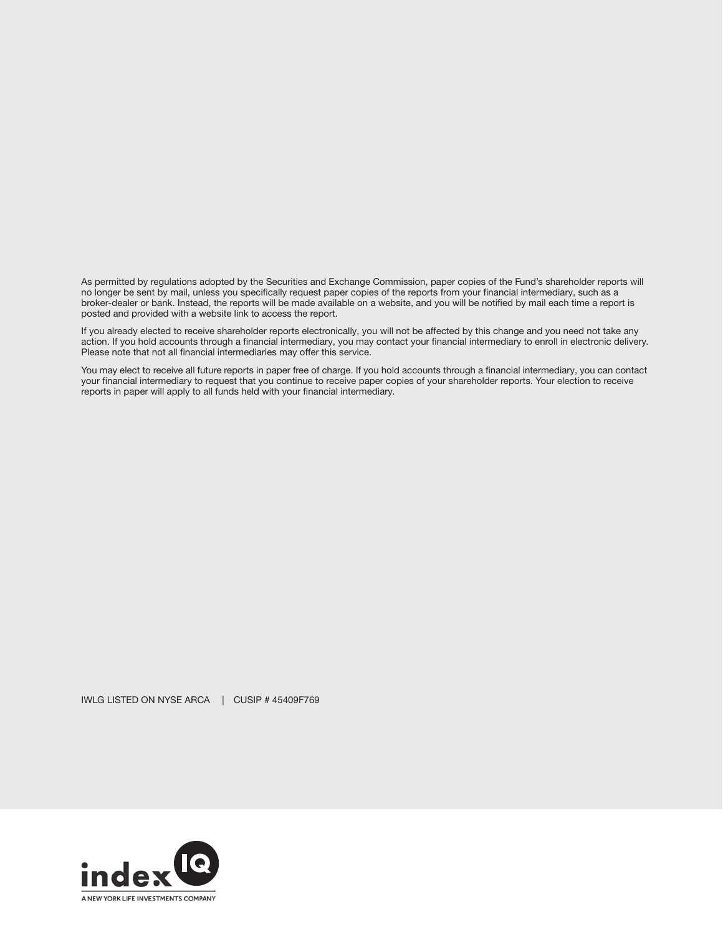As permitted by regulations adopted by the Securities and Exchange Commission, paper copies of the Fund's shareholder reports will no longer be sent by mail, unless you specifically request paper copies of the reports from your financial intermediary, such as a broker-dealer or bank. Instead, the reports will be made available on a website, and you will be notified by mail each time a report is posted and provided with a website link to access the report.

If you already elected to receive shareholder reports electronically, you will not be affected by this change and you need not take any action. If you hold accounts through a financial intermediary, you may contact your financial intermediary to enroll in electronic delivery. Please note that not all financial intermediaries may offer this service.

You may elect to receive all future reports in paper free of charge. If you hold accounts through a financial intermediary, you can contact your financial intermediary to request that you continue to receive paper copies of your shareholder reports. Your election to receive reports in paper will apply to all funds held with your financial intermediary.

IWLG LISTED ON NYSE ARCA | CUSIP # 45409F769

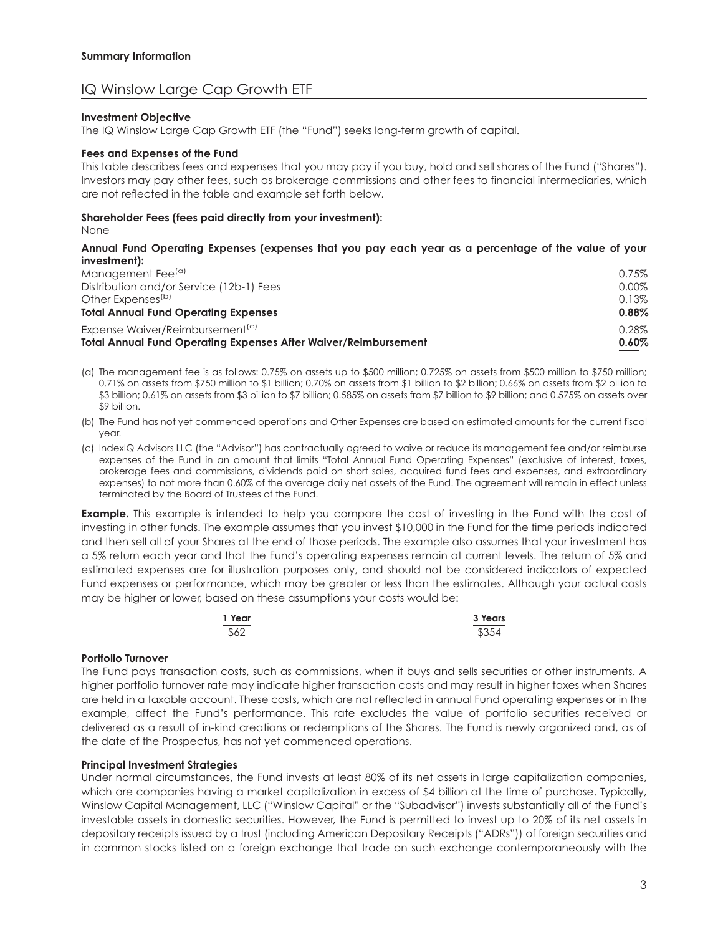## IQ Winslow Large Cap Growth ETF

#### **Investment Objective**

The IQ Winslow Large Cap Growth ETF (the "Fund") seeks long-term growth of capital.

#### **Fees and Expenses of the Fund**

This table describes fees and expenses that you may pay if you buy, hold and sell shares of the Fund ("Shares"). Investors may pay other fees, such as brokerage commissions and other fees to financial intermediaries, which are not reflected in the table and example set forth below.

#### **Shareholder Fees (fees paid directly from your investment):**

None

#### **Annual Fund Operating Expenses (expenses that you pay each year as a percentage of the value of your investment):**

| <b>Total Annual Fund Operating Expenses After Waiver/Reimbursement</b> | 0.60% |
|------------------------------------------------------------------------|-------|
| Expense Waiver/Reimbursement <sup>(c)</sup>                            | 0.28% |
| <b>Total Annual Fund Operating Expenses</b>                            | 0.88% |
| Other Expenses <sup>(b)</sup>                                          | 0.13% |
| Distribution and/or Service (12b-1) Fees                               | 0.00% |
| Management Fee <sup>(a)</sup>                                          | 0.75% |
|                                                                        |       |

(a) The management fee is as follows: 0.75% on assets up to \$500 million; 0.725% on assets from \$500 million to \$750 million; 0.71% on assets from \$750 million to \$1 billion; 0.70% on assets from \$1 billion to \$2 billion; 0.66% on assets from \$2 billion to \$3 billion; 0.61% on assets from \$3 billion to \$7 billion; 0.585% on assets from \$7 billion to \$9 billion; and 0.575% on assets over \$9 billion.

(b) The Fund has not yet commenced operations and Other Expenses are based on estimated amounts for the current fiscal year.

(c) IndexIQ Advisors LLC (the "Advisor") has contractually agreed to waive or reduce its management fee and/or reimburse expenses of the Fund in an amount that limits "Total Annual Fund Operating Expenses" (exclusive of interest, taxes, brokerage fees and commissions, dividends paid on short sales, acquired fund fees and expenses, and extraordinary expenses) to not more than 0.60% of the average daily net assets of the Fund. The agreement will remain in effect unless terminated by the Board of Trustees of the Fund.

**Example.** This example is intended to help you compare the cost of investing in the Fund with the cost of investing in other funds. The example assumes that you invest \$10,000 in the Fund for the time periods indicated and then sell all of your Shares at the end of those periods. The example also assumes that your investment has a 5% return each year and that the Fund's operating expenses remain at current levels. The return of 5% and estimated expenses are for illustration purposes only, and should not be considered indicators of expected Fund expenses or performance, which may be greater or less than the estimates. Although your actual costs may be higher or lower, based on these assumptions your costs would be:

| 1 Year | 3 Years |
|--------|---------|
| \$62   | \$354   |

#### **Portfolio Turnover**

The Fund pays transaction costs, such as commissions, when it buys and sells securities or other instruments. A higher portfolio turnover rate may indicate higher transaction costs and may result in higher taxes when Shares are held in a taxable account. These costs, which are not reflected in annual Fund operating expenses or in the example, affect the Fund's performance. This rate excludes the value of portfolio securities received or delivered as a result of in-kind creations or redemptions of the Shares. The Fund is newly organized and, as of the date of the Prospectus, has not yet commenced operations.

#### **Principal Investment Strategies**

Under normal circumstances, the Fund invests at least 80% of its net assets in large capitalization companies, which are companies having a market capitalization in excess of \$4 billion at the time of purchase. Typically, Winslow Capital Management, LLC ("Winslow Capital" or the "Subadvisor") invests substantially all of the Fund's investable assets in domestic securities. However, the Fund is permitted to invest up to 20% of its net assets in depositary receipts issued by a trust (including American Depositary Receipts ("ADRs")) of foreign securities and in common stocks listed on a foreign exchange that trade on such exchange contemporaneously with the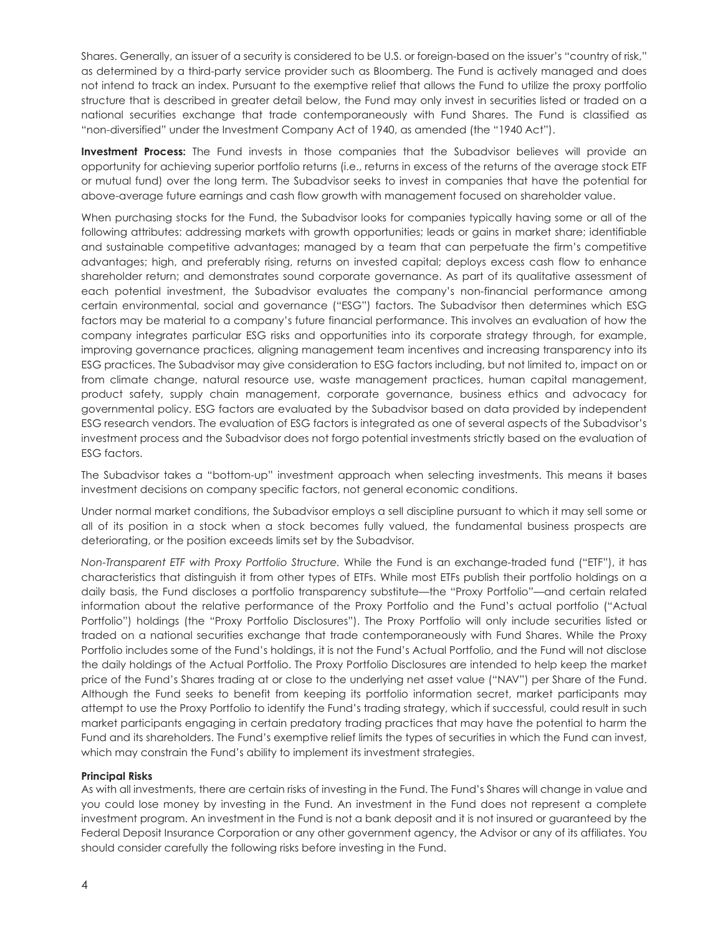Shares. Generally, an issuer of a security is considered to be U.S. or foreign-based on the issuer's "country of risk," as determined by a third-party service provider such as Bloomberg. The Fund is actively managed and does not intend to track an index. Pursuant to the exemptive relief that allows the Fund to utilize the proxy portfolio structure that is described in greater detail below, the Fund may only invest in securities listed or traded on a national securities exchange that trade contemporaneously with Fund Shares. The Fund is classified as "non-diversified" under the Investment Company Act of 1940, as amended (the "1940 Act").

**Investment Process:** The Fund invests in those companies that the Subadvisor believes will provide an opportunity for achieving superior portfolio returns (i.e., returns in excess of the returns of the average stock ETF or mutual fund) over the long term. The Subadvisor seeks to invest in companies that have the potential for above-average future earnings and cash flow growth with management focused on shareholder value.

When purchasing stocks for the Fund, the Subadvisor looks for companies typically having some or all of the following attributes: addressing markets with growth opportunities; leads or gains in market share; identifiable and sustainable competitive advantages; managed by a team that can perpetuate the firm's competitive advantages; high, and preferably rising, returns on invested capital; deploys excess cash flow to enhance shareholder return; and demonstrates sound corporate governance. As part of its qualitative assessment of each potential investment, the Subadvisor evaluates the company's non-financial performance among certain environmental, social and governance ("ESG") factors. The Subadvisor then determines which ESG factors may be material to a company's future financial performance. This involves an evaluation of how the company integrates particular ESG risks and opportunities into its corporate strategy through, for example, improving governance practices, aligning management team incentives and increasing transparency into its ESG practices. The Subadvisor may give consideration to ESG factors including, but not limited to, impact on or from climate change, natural resource use, waste management practices, human capital management, product safety, supply chain management, corporate governance, business ethics and advocacy for governmental policy. ESG factors are evaluated by the Subadvisor based on data provided by independent ESG research vendors. The evaluation of ESG factors is integrated as one of several aspects of the Subadvisor's investment process and the Subadvisor does not forgo potential investments strictly based on the evaluation of ESG factors.

The Subadvisor takes a "bottom-up" investment approach when selecting investments. This means it bases investment decisions on company specific factors, not general economic conditions.

Under normal market conditions, the Subadvisor employs a sell discipline pursuant to which it may sell some or all of its position in a stock when a stock becomes fully valued, the fundamental business prospects are deteriorating, or the position exceeds limits set by the Subadvisor.

*Non-Transparent ETF with Proxy Portfolio Structure.* While the Fund is an exchange-traded fund ("ETF"), it has characteristics that distinguish it from other types of ETFs. While most ETFs publish their portfolio holdings on a daily basis, the Fund discloses a portfolio transparency substitute—the "Proxy Portfolio"—and certain related information about the relative performance of the Proxy Portfolio and the Fund's actual portfolio ("Actual Portfolio") holdings (the "Proxy Portfolio Disclosures"). The Proxy Portfolio will only include securities listed or traded on a national securities exchange that trade contemporaneously with Fund Shares. While the Proxy Portfolio includes some of the Fund's holdings, it is not the Fund's Actual Portfolio, and the Fund will not disclose the daily holdings of the Actual Portfolio. The Proxy Portfolio Disclosures are intended to help keep the market price of the Fund's Shares trading at or close to the underlying net asset value ("NAV") per Share of the Fund. Although the Fund seeks to benefit from keeping its portfolio information secret, market participants may attempt to use the Proxy Portfolio to identify the Fund's trading strategy, which if successful, could result in such market participants engaging in certain predatory trading practices that may have the potential to harm the Fund and its shareholders. The Fund's exemptive relief limits the types of securities in which the Fund can invest, which may constrain the Fund's ability to implement its investment strategies.

#### **Principal Risks**

As with all investments, there are certain risks of investing in the Fund. The Fund's Shares will change in value and you could lose money by investing in the Fund. An investment in the Fund does not represent a complete investment program. An investment in the Fund is not a bank deposit and it is not insured or guaranteed by the Federal Deposit Insurance Corporation or any other government agency, the Advisor or any of its affiliates. You should consider carefully the following risks before investing in the Fund.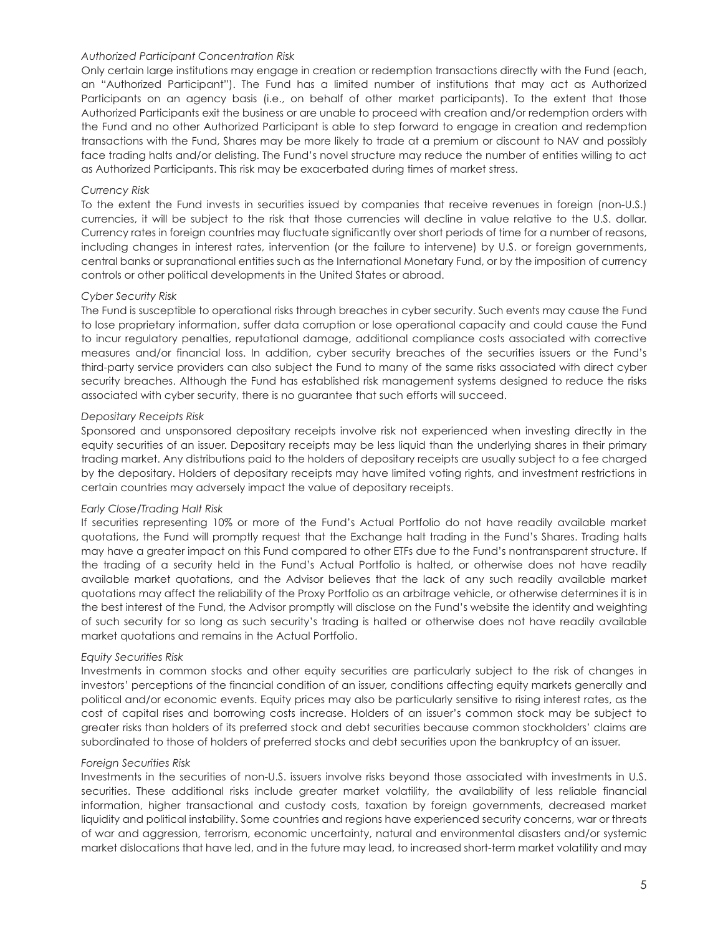#### *Authorized Participant Concentration Risk*

Only certain large institutions may engage in creation or redemption transactions directly with the Fund (each, an "Authorized Participant"). The Fund has a limited number of institutions that may act as Authorized Participants on an agency basis (i.e., on behalf of other market participants). To the extent that those Authorized Participants exit the business or are unable to proceed with creation and/or redemption orders with the Fund and no other Authorized Participant is able to step forward to engage in creation and redemption transactions with the Fund, Shares may be more likely to trade at a premium or discount to NAV and possibly face trading halts and/or delisting. The Fund's novel structure may reduce the number of entities willing to act as Authorized Participants. This risk may be exacerbated during times of market stress.

#### *Currency Risk*

To the extent the Fund invests in securities issued by companies that receive revenues in foreign (non-U.S.) currencies, it will be subject to the risk that those currencies will decline in value relative to the U.S. dollar. Currency rates in foreign countries may fluctuate significantly over short periods of time for a number of reasons, including changes in interest rates, intervention (or the failure to intervene) by U.S. or foreign governments, central banks or supranational entities such as the International Monetary Fund, or by the imposition of currency controls or other political developments in the United States or abroad.

#### *Cyber Security Risk*

The Fund is susceptible to operational risks through breaches in cyber security. Such events may cause the Fund to lose proprietary information, suffer data corruption or lose operational capacity and could cause the Fund to incur regulatory penalties, reputational damage, additional compliance costs associated with corrective measures and/or financial loss. In addition, cyber security breaches of the securities issuers or the Fund's third-party service providers can also subject the Fund to many of the same risks associated with direct cyber security breaches. Although the Fund has established risk management systems designed to reduce the risks associated with cyber security, there is no guarantee that such efforts will succeed.

#### *Depositary Receipts Risk*

Sponsored and unsponsored depositary receipts involve risk not experienced when investing directly in the equity securities of an issuer. Depositary receipts may be less liquid than the underlying shares in their primary trading market. Any distributions paid to the holders of depositary receipts are usually subject to a fee charged by the depositary. Holders of depositary receipts may have limited voting rights, and investment restrictions in certain countries may adversely impact the value of depositary receipts.

#### *Early Close/Trading Halt Risk*

If securities representing 10% or more of the Fund's Actual Portfolio do not have readily available market quotations, the Fund will promptly request that the Exchange halt trading in the Fund's Shares. Trading halts may have a greater impact on this Fund compared to other ETFs due to the Fund's nontransparent structure. If the trading of a security held in the Fund's Actual Portfolio is halted, or otherwise does not have readily available market quotations, and the Advisor believes that the lack of any such readily available market quotations may affect the reliability of the Proxy Portfolio as an arbitrage vehicle, or otherwise determines it is in the best interest of the Fund, the Advisor promptly will disclose on the Fund's website the identity and weighting of such security for so long as such security's trading is halted or otherwise does not have readily available market quotations and remains in the Actual Portfolio.

#### *Equity Securities Risk*

Investments in common stocks and other equity securities are particularly subject to the risk of changes in investors' perceptions of the financial condition of an issuer, conditions affecting equity markets generally and political and/or economic events. Equity prices may also be particularly sensitive to rising interest rates, as the cost of capital rises and borrowing costs increase. Holders of an issuer's common stock may be subject to greater risks than holders of its preferred stock and debt securities because common stockholders' claims are subordinated to those of holders of preferred stocks and debt securities upon the bankruptcy of an issuer.

#### *Foreign Securities Risk*

Investments in the securities of non-U.S. issuers involve risks beyond those associated with investments in U.S. securities. These additional risks include greater market volatility, the availability of less reliable financial information, higher transactional and custody costs, taxation by foreign governments, decreased market liquidity and political instability. Some countries and regions have experienced security concerns, war or threats of war and aggression, terrorism, economic uncertainty, natural and environmental disasters and/or systemic market dislocations that have led, and in the future may lead, to increased short-term market volatility and may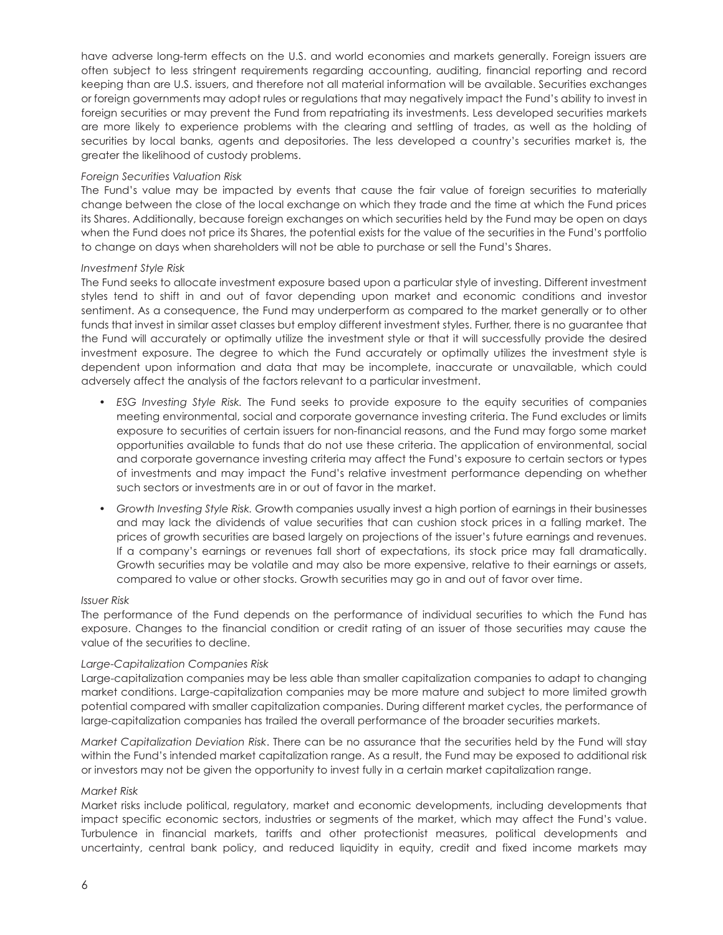have adverse long-term effects on the U.S. and world economies and markets generally. Foreign issuers are often subject to less stringent requirements regarding accounting, auditing, financial reporting and record keeping than are U.S. issuers, and therefore not all material information will be available. Securities exchanges or foreign governments may adopt rules or regulations that may negatively impact the Fund's ability to invest in foreign securities or may prevent the Fund from repatriating its investments. Less developed securities markets are more likely to experience problems with the clearing and settling of trades, as well as the holding of securities by local banks, agents and depositories. The less developed a country's securities market is, the greater the likelihood of custody problems.

#### *Foreign Securities Valuation Risk*

The Fund's value may be impacted by events that cause the fair value of foreign securities to materially change between the close of the local exchange on which they trade and the time at which the Fund prices its Shares. Additionally, because foreign exchanges on which securities held by the Fund may be open on days when the Fund does not price its Shares, the potential exists for the value of the securities in the Fund's portfolio to change on days when shareholders will not be able to purchase or sell the Fund's Shares.

#### *Investment Style Risk*

The Fund seeks to allocate investment exposure based upon a particular style of investing. Different investment styles tend to shift in and out of favor depending upon market and economic conditions and investor sentiment. As a consequence, the Fund may underperform as compared to the market generally or to other funds that invest in similar asset classes but employ different investment styles. Further, there is no guarantee that the Fund will accurately or optimally utilize the investment style or that it will successfully provide the desired investment exposure. The degree to which the Fund accurately or optimally utilizes the investment style is dependent upon information and data that may be incomplete, inaccurate or unavailable, which could adversely affect the analysis of the factors relevant to a particular investment.

- *ESG Investing Style Risk.* The Fund seeks to provide exposure to the equity securities of companies meeting environmental, social and corporate governance investing criteria. The Fund excludes or limits exposure to securities of certain issuers for non-financial reasons, and the Fund may forgo some market opportunities available to funds that do not use these criteria. The application of environmental, social and corporate governance investing criteria may affect the Fund's exposure to certain sectors or types of investments and may impact the Fund's relative investment performance depending on whether such sectors or investments are in or out of favor in the market.
- *Growth Investing Style Risk.* Growth companies usually invest a high portion of earnings in their businesses and may lack the dividends of value securities that can cushion stock prices in a falling market. The prices of growth securities are based largely on projections of the issuer's future earnings and revenues. If a company's earnings or revenues fall short of expectations, its stock price may fall dramatically. Growth securities may be volatile and may also be more expensive, relative to their earnings or assets, compared to value or other stocks. Growth securities may go in and out of favor over time.

#### *Issuer Risk*

The performance of the Fund depends on the performance of individual securities to which the Fund has exposure. Changes to the financial condition or credit rating of an issuer of those securities may cause the value of the securities to decline.

#### *Large-Capitalization Companies Risk*

Large-capitalization companies may be less able than smaller capitalization companies to adapt to changing market conditions. Large-capitalization companies may be more mature and subject to more limited growth potential compared with smaller capitalization companies. During different market cycles, the performance of large-capitalization companies has trailed the overall performance of the broader securities markets.

*Market Capitalization Deviation Risk*. There can be no assurance that the securities held by the Fund will stay within the Fund's intended market capitalization range. As a result, the Fund may be exposed to additional risk or investors may not be given the opportunity to invest fully in a certain market capitalization range.

#### *Market Risk*

Market risks include political, regulatory, market and economic developments, including developments that impact specific economic sectors, industries or segments of the market, which may affect the Fund's value. Turbulence in financial markets, tariffs and other protectionist measures, political developments and uncertainty, central bank policy, and reduced liquidity in equity, credit and fixed income markets may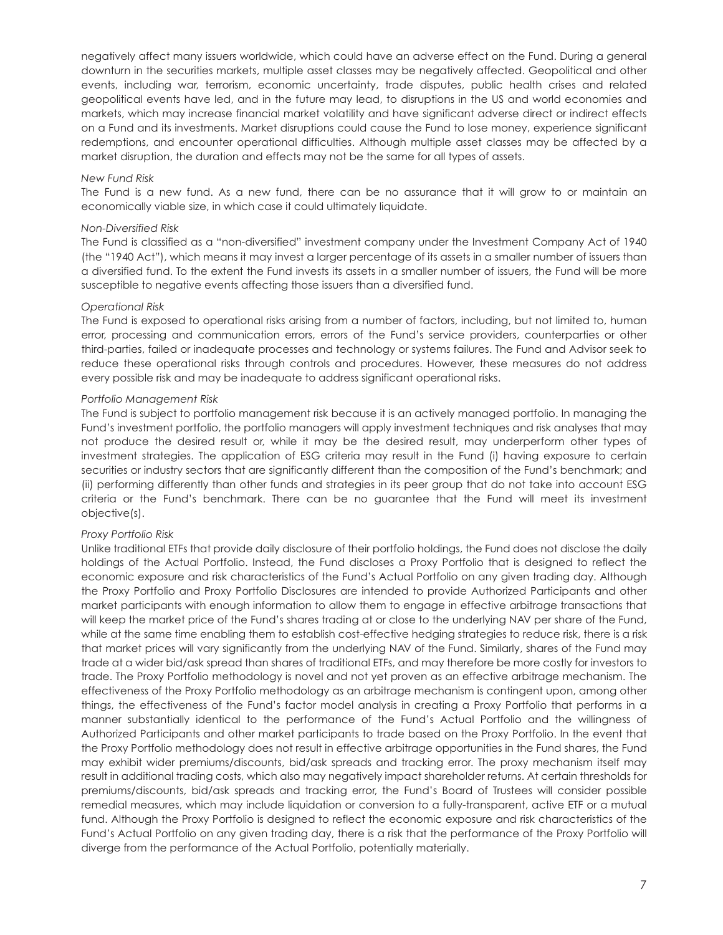negatively affect many issuers worldwide, which could have an adverse effect on the Fund. During a general downturn in the securities markets, multiple asset classes may be negatively affected. Geopolitical and other events, including war, terrorism, economic uncertainty, trade disputes, public health crises and related geopolitical events have led, and in the future may lead, to disruptions in the US and world economies and markets, which may increase financial market volatility and have significant adverse direct or indirect effects on a Fund and its investments. Market disruptions could cause the Fund to lose money, experience significant redemptions, and encounter operational difficulties. Although multiple asset classes may be affected by a market disruption, the duration and effects may not be the same for all types of assets.

#### *New Fund Risk*

The Fund is a new fund. As a new fund, there can be no assurance that it will grow to or maintain an economically viable size, in which case it could ultimately liquidate.

#### *Non-Diversified Risk*

The Fund is classified as a "non-diversified" investment company under the Investment Company Act of 1940 (the "1940 Act"), which means it may invest a larger percentage of its assets in a smaller number of issuers than a diversified fund. To the extent the Fund invests its assets in a smaller number of issuers, the Fund will be more susceptible to negative events affecting those issuers than a diversified fund.

#### *Operational Risk*

The Fund is exposed to operational risks arising from a number of factors, including, but not limited to, human error, processing and communication errors, errors of the Fund's service providers, counterparties or other third-parties, failed or inadequate processes and technology or systems failures. The Fund and Advisor seek to reduce these operational risks through controls and procedures. However, these measures do not address every possible risk and may be inadequate to address significant operational risks.

#### *Portfolio Management Risk*

The Fund is subject to portfolio management risk because it is an actively managed portfolio. In managing the Fund's investment portfolio, the portfolio managers will apply investment techniques and risk analyses that may not produce the desired result or, while it may be the desired result, may underperform other types of investment strategies. The application of ESG criteria may result in the Fund (i) having exposure to certain securities or industry sectors that are significantly different than the composition of the Fund's benchmark; and (ii) performing differently than other funds and strategies in its peer group that do not take into account ESG criteria or the Fund's benchmark. There can be no guarantee that the Fund will meet its investment objective(s).

#### *Proxy Portfolio Risk*

Unlike traditional ETFs that provide daily disclosure of their portfolio holdings, the Fund does not disclose the daily holdings of the Actual Portfolio. Instead, the Fund discloses a Proxy Portfolio that is designed to reflect the economic exposure and risk characteristics of the Fund's Actual Portfolio on any given trading day. Although the Proxy Portfolio and Proxy Portfolio Disclosures are intended to provide Authorized Participants and other market participants with enough information to allow them to engage in effective arbitrage transactions that will keep the market price of the Fund's shares trading at or close to the underlying NAV per share of the Fund, while at the same time enabling them to establish cost-effective hedging strategies to reduce risk, there is a risk that market prices will vary significantly from the underlying NAV of the Fund. Similarly, shares of the Fund may trade at a wider bid/ask spread than shares of traditional ETFs, and may therefore be more costly for investors to trade. The Proxy Portfolio methodology is novel and not yet proven as an effective arbitrage mechanism. The effectiveness of the Proxy Portfolio methodology as an arbitrage mechanism is contingent upon, among other things, the effectiveness of the Fund's factor model analysis in creating a Proxy Portfolio that performs in a manner substantially identical to the performance of the Fund's Actual Portfolio and the willingness of Authorized Participants and other market participants to trade based on the Proxy Portfolio. In the event that the Proxy Portfolio methodology does not result in effective arbitrage opportunities in the Fund shares, the Fund may exhibit wider premiums/discounts, bid/ask spreads and tracking error. The proxy mechanism itself may result in additional trading costs, which also may negatively impact shareholder returns. At certain thresholds for premiums/discounts, bid/ask spreads and tracking error, the Fund's Board of Trustees will consider possible remedial measures, which may include liquidation or conversion to a fully-transparent, active ETF or a mutual fund. Although the Proxy Portfolio is designed to reflect the economic exposure and risk characteristics of the Fund's Actual Portfolio on any given trading day, there is a risk that the performance of the Proxy Portfolio will diverge from the performance of the Actual Portfolio, potentially materially.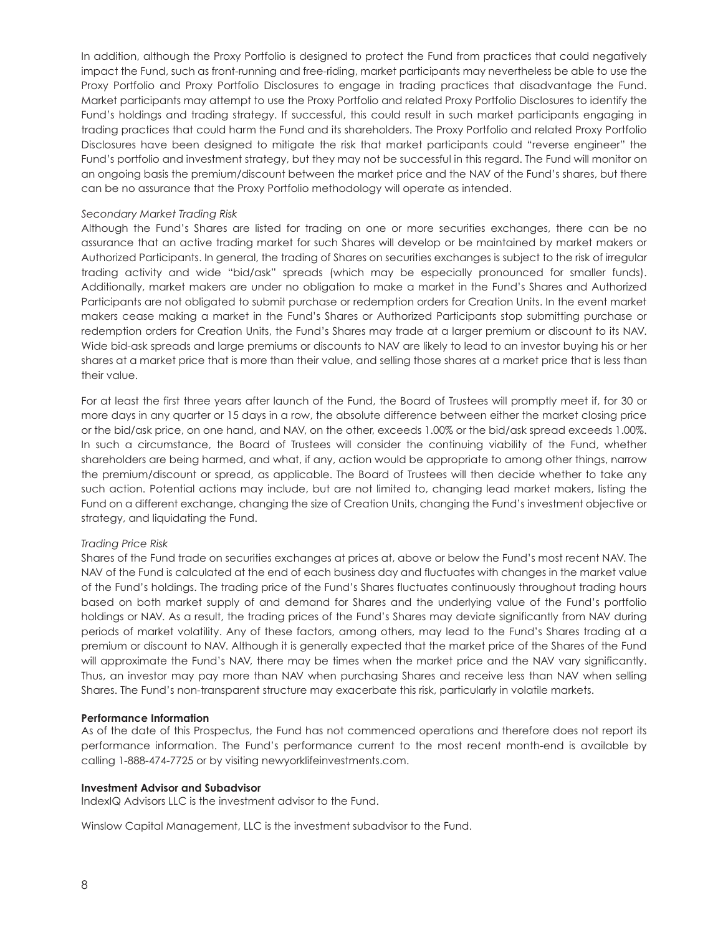In addition, although the Proxy Portfolio is designed to protect the Fund from practices that could negatively impact the Fund, such as front-running and free-riding, market participants may nevertheless be able to use the Proxy Portfolio and Proxy Portfolio Disclosures to engage in trading practices that disadvantage the Fund. Market participants may attempt to use the Proxy Portfolio and related Proxy Portfolio Disclosures to identify the Fund's holdings and trading strategy. If successful, this could result in such market participants engaging in trading practices that could harm the Fund and its shareholders. The Proxy Portfolio and related Proxy Portfolio Disclosures have been designed to mitigate the risk that market participants could "reverse engineer" the Fund's portfolio and investment strategy, but they may not be successful in this regard. The Fund will monitor on an ongoing basis the premium/discount between the market price and the NAV of the Fund's shares, but there can be no assurance that the Proxy Portfolio methodology will operate as intended.

#### *Secondary Market Trading Risk*

Although the Fund's Shares are listed for trading on one or more securities exchanges, there can be no assurance that an active trading market for such Shares will develop or be maintained by market makers or Authorized Participants. In general, the trading of Shares on securities exchanges is subject to the risk of irregular trading activity and wide "bid/ask" spreads (which may be especially pronounced for smaller funds). Additionally, market makers are under no obligation to make a market in the Fund's Shares and Authorized Participants are not obligated to submit purchase or redemption orders for Creation Units. In the event market makers cease making a market in the Fund's Shares or Authorized Participants stop submitting purchase or redemption orders for Creation Units, the Fund's Shares may trade at a larger premium or discount to its NAV. Wide bid-ask spreads and large premiums or discounts to NAV are likely to lead to an investor buying his or her shares at a market price that is more than their value, and selling those shares at a market price that is less than their value.

For at least the first three years after launch of the Fund, the Board of Trustees will promptly meet if, for 30 or more days in any quarter or 15 days in a row, the absolute difference between either the market closing price or the bid/ask price, on one hand, and NAV, on the other, exceeds 1.00% or the bid/ask spread exceeds 1.00%. In such a circumstance, the Board of Trustees will consider the continuing viability of the Fund, whether shareholders are being harmed, and what, if any, action would be appropriate to among other things, narrow the premium/discount or spread, as applicable. The Board of Trustees will then decide whether to take any such action. Potential actions may include, but are not limited to, changing lead market makers, listing the Fund on a different exchange, changing the size of Creation Units, changing the Fund's investment objective or strategy, and liquidating the Fund.

#### *Trading Price Risk*

Shares of the Fund trade on securities exchanges at prices at, above or below the Fund's most recent NAV. The NAV of the Fund is calculated at the end of each business day and fluctuates with changes in the market value of the Fund's holdings. The trading price of the Fund's Shares fluctuates continuously throughout trading hours based on both market supply of and demand for Shares and the underlying value of the Fund's portfolio holdings or NAV. As a result, the trading prices of the Fund's Shares may deviate significantly from NAV during periods of market volatility. Any of these factors, among others, may lead to the Fund's Shares trading at a premium or discount to NAV. Although it is generally expected that the market price of the Shares of the Fund will approximate the Fund's NAV, there may be times when the market price and the NAV vary significantly. Thus, an investor may pay more than NAV when purchasing Shares and receive less than NAV when selling Shares. The Fund's non-transparent structure may exacerbate this risk, particularly in volatile markets.

#### **Performance Information**

As of the date of this Prospectus, the Fund has not commenced operations and therefore does not report its performance information. The Fund's performance current to the most recent month-end is available by calling 1-888-474-7725 or by visiting newyorklifeinvestments.com.

#### **Investment Advisor and Subadvisor**

IndexIQ Advisors LLC is the investment advisor to the Fund.

Winslow Capital Management, LLC is the investment subadvisor to the Fund.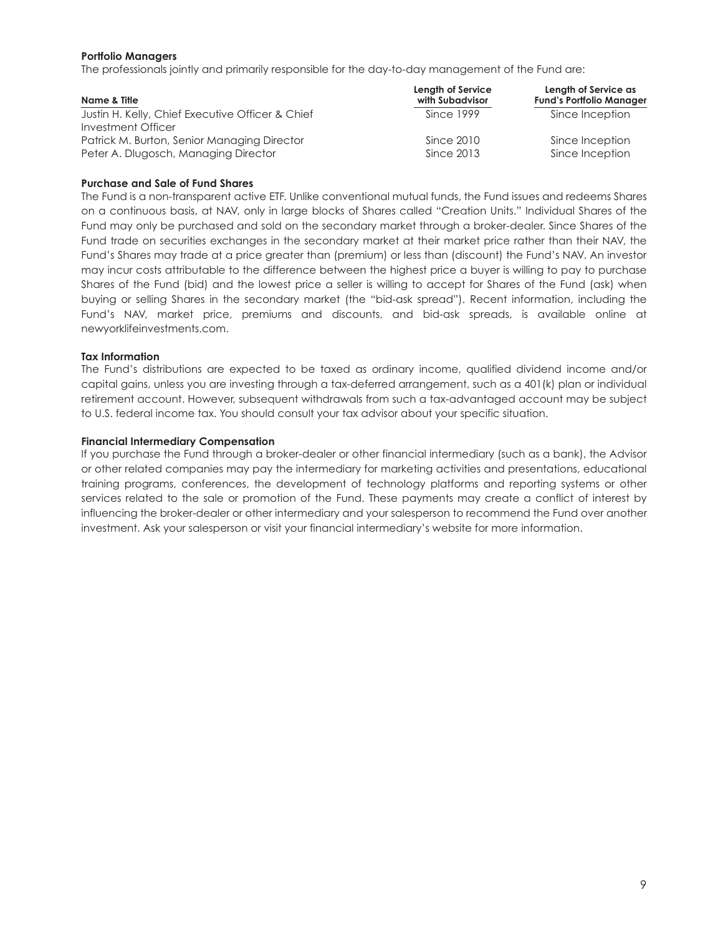#### **Portfolio Managers**

The professionals jointly and primarily responsible for the day-to-day management of the Fund are:

| Name & Title                                     | Length of Service<br>with Subadvisor | Length of Service as<br><b>Fund's Portfolio Manager</b> |
|--------------------------------------------------|--------------------------------------|---------------------------------------------------------|
| Justin H. Kelly, Chief Executive Officer & Chief | Since 1999                           | Since Inception                                         |
| Investment Officer                               |                                      |                                                         |
| Patrick M. Burton, Senior Managing Director      | Since 2010                           | Since Inception                                         |
| Peter A. Dlugosch, Managing Director             | Since 2013                           | Since Inception                                         |

#### **Purchase and Sale of Fund Shares**

The Fund is a non-transparent active ETF. Unlike conventional mutual funds, the Fund issues and redeems Shares on a continuous basis, at NAV, only in large blocks of Shares called "Creation Units." Individual Shares of the Fund may only be purchased and sold on the secondary market through a broker-dealer. Since Shares of the Fund trade on securities exchanges in the secondary market at their market price rather than their NAV, the Fund's Shares may trade at a price greater than (premium) or less than (discount) the Fund's NAV. An investor may incur costs attributable to the difference between the highest price a buyer is willing to pay to purchase Shares of the Fund (bid) and the lowest price a seller is willing to accept for Shares of the Fund (ask) when buying or selling Shares in the secondary market (the "bid-ask spread"). Recent information, including the Fund's NAV, market price, premiums and discounts, and bid-ask spreads, is available online at newyorklifeinvestments.com.

#### **Tax Information**

The Fund's distributions are expected to be taxed as ordinary income, qualified dividend income and/or capital gains, unless you are investing through a tax-deferred arrangement, such as a 401(k) plan or individual retirement account. However, subsequent withdrawals from such a tax-advantaged account may be subject to U.S. federal income tax. You should consult your tax advisor about your specific situation.

#### **Financial Intermediary Compensation**

If you purchase the Fund through a broker-dealer or other financial intermediary (such as a bank), the Advisor or other related companies may pay the intermediary for marketing activities and presentations, educational training programs, conferences, the development of technology platforms and reporting systems or other services related to the sale or promotion of the Fund. These payments may create a conflict of interest by influencing the broker-dealer or other intermediary and your salesperson to recommend the Fund over another investment. Ask your salesperson or visit your financial intermediary's website for more information.